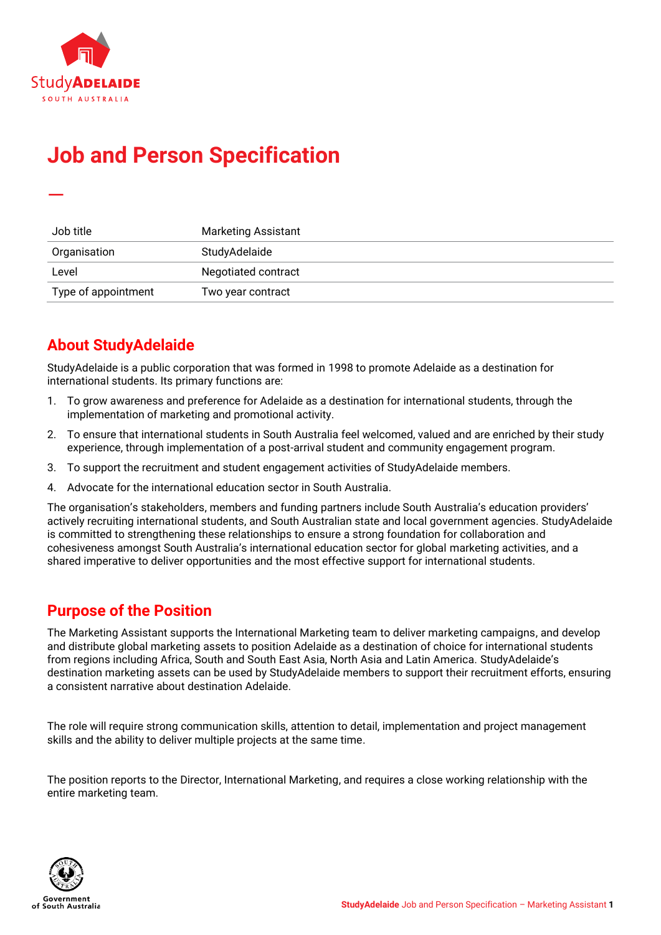

—

# **Job and Person Specification**

| Job title           | <b>Marketing Assistant</b> |
|---------------------|----------------------------|
| Organisation        | StudyAdelaide              |
| Level               | Negotiated contract        |
| Type of appointment | Two year contract          |

# **About StudyAdelaide**

StudyAdelaide is a public corporation that was formed in 1998 to promote Adelaide as a destination for international students. Its primary functions are:

- 1. To grow awareness and preference for Adelaide as a destination for international students, through the implementation of marketing and promotional activity.
- 2. To ensure that international students in South Australia feel welcomed, valued and are enriched by their study experience, through implementation of a post-arrival student and community engagement program.
- 3. To support the recruitment and student engagement activities of StudyAdelaide members.
- 4. Advocate for the international education sector in South Australia.

The organisation's stakeholders, members and funding partners include South Australia's education providers' actively recruiting international students, and South Australian state and local government agencies. StudyAdelaide is committed to strengthening these relationships to ensure a strong foundation for collaboration and cohesiveness amongst South Australia's international education sector for global marketing activities, and a shared imperative to deliver opportunities and the most effective support for international students.

### **Purpose of the Position**

The Marketing Assistant supports the International Marketing team to deliver marketing campaigns, and develop and distribute global marketing assets to position Adelaide as a destination of choice for international students from regions including Africa, South and South East Asia, North Asia and Latin America. StudyAdelaide's destination marketing assets can be used by StudyAdelaide members to support their recruitment efforts, ensuring a consistent narrative about destination Adelaide.

The role will require strong communication skills, attention to detail, implementation and project management skills and the ability to deliver multiple projects at the same time.

The position reports to the Director, International Marketing, and requires a close working relationship with the entire marketing team.

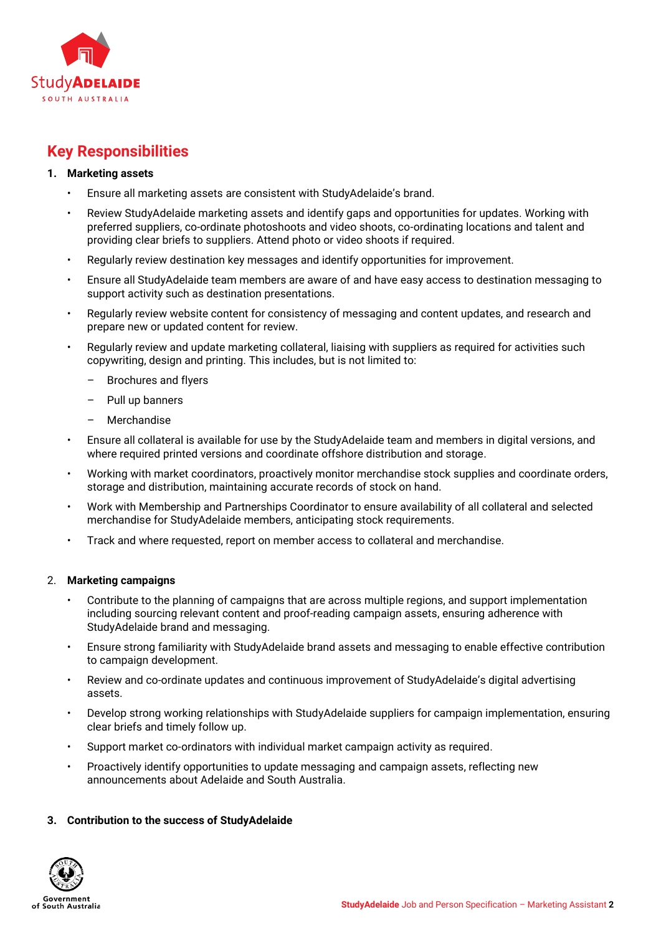

# **Key Responsibilities**

#### **1. Marketing assets**

- Ensure all marketing assets are consistent with StudyAdelaide's brand.
- Review StudyAdelaide marketing assets and identify gaps and opportunities for updates. Working with preferred suppliers, co-ordinate photoshoots and video shoots, co-ordinating locations and talent and providing clear briefs to suppliers. Attend photo or video shoots if required.
- Regularly review destination key messages and identify opportunities for improvement.
- Ensure all StudyAdelaide team members are aware of and have easy access to destination messaging to support activity such as destination presentations.
- Regularly review website content for consistency of messaging and content updates, and research and prepare new or updated content for review.
- Regularly review and update marketing collateral, liaising with suppliers as required for activities such copywriting, design and printing. This includes, but is not limited to:
	- Brochures and flyers
	- Pull up banners
	- Merchandise
- Ensure all collateral is available for use by the StudyAdelaide team and members in digital versions, and where required printed versions and coordinate offshore distribution and storage.
- Working with market coordinators, proactively monitor merchandise stock supplies and coordinate orders, storage and distribution, maintaining accurate records of stock on hand.
- Work with Membership and Partnerships Coordinator to ensure availability of all collateral and selected merchandise for StudyAdelaide members, anticipating stock requirements.
- Track and where requested, report on member access to collateral and merchandise.

#### 2. **Marketing campaigns**

- Contribute to the planning of campaigns that are across multiple regions, and support implementation including sourcing relevant content and proof-reading campaign assets, ensuring adherence with StudyAdelaide brand and messaging.
- Ensure strong familiarity with StudyAdelaide brand assets and messaging to enable effective contribution to campaign development.
- Review and co-ordinate updates and continuous improvement of StudyAdelaide's digital advertising assets.
- Develop strong working relationships with StudyAdelaide suppliers for campaign implementation, ensuring clear briefs and timely follow up.
- Support market co-ordinators with individual market campaign activity as required.
- Proactively identify opportunities to update messaging and campaign assets, reflecting new announcements about Adelaide and South Australia.

#### **3. Contribution to the success of StudyAdelaide**

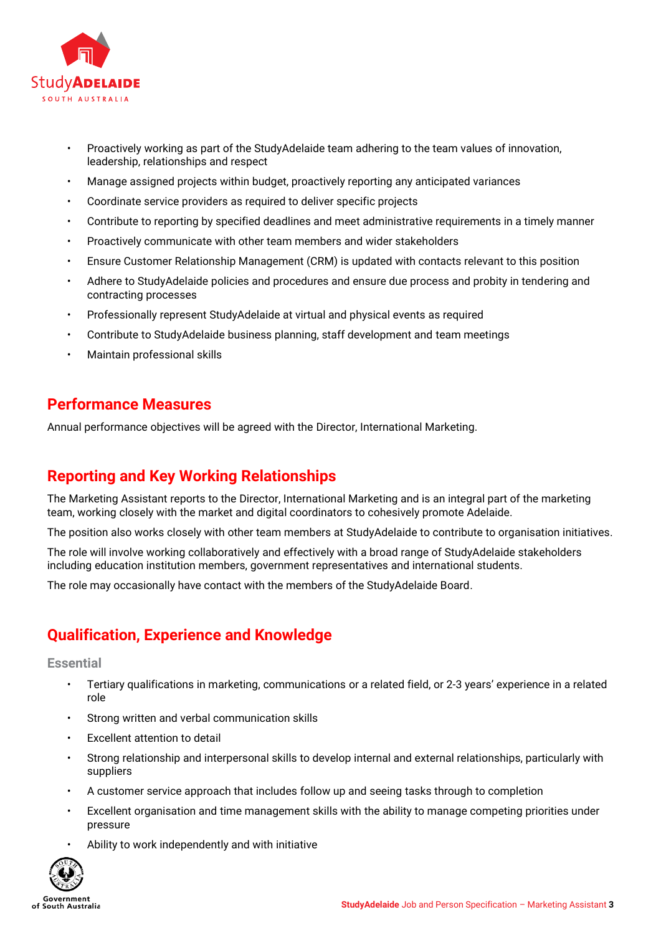

- Proactively working as part of the StudyAdelaide team adhering to the team values of innovation, leadership, relationships and respect
- Manage assigned projects within budget, proactively reporting any anticipated variances
- Coordinate service providers as required to deliver specific projects
- Contribute to reporting by specified deadlines and meet administrative requirements in a timely manner
- Proactively communicate with other team members and wider stakeholders
- Ensure Customer Relationship Management (CRM) is updated with contacts relevant to this position
- Adhere to StudyAdelaide policies and procedures and ensure due process and probity in tendering and contracting processes
- Professionally represent StudyAdelaide at virtual and physical events as required
- Contribute to StudyAdelaide business planning, staff development and team meetings
- Maintain professional skills

### **Performance Measures**

Annual performance objectives will be agreed with the Director, International Marketing.

## **Reporting and Key Working Relationships**

The Marketing Assistant reports to the Director, International Marketing and is an integral part of the marketing team, working closely with the market and digital coordinators to cohesively promote Adelaide.

The position also works closely with other team members at StudyAdelaide to contribute to organisation initiatives.

The role will involve working collaboratively and effectively with a broad range of StudyAdelaide stakeholders including education institution members, government representatives and international students.

The role may occasionally have contact with the members of the StudyAdelaide Board.

### **Qualification, Experience and Knowledge**

**Essential**

- Tertiary qualifications in marketing, communications or a related field, or 2-3 years' experience in a related role
- Strong written and verbal communication skills
- Excellent attention to detail
- Strong relationship and interpersonal skills to develop internal and external relationships, particularly with suppliers
- A customer service approach that includes follow up and seeing tasks through to completion
- Excellent organisation and time management skills with the ability to manage competing priorities under pressure
- Ability to work independently and with initiative